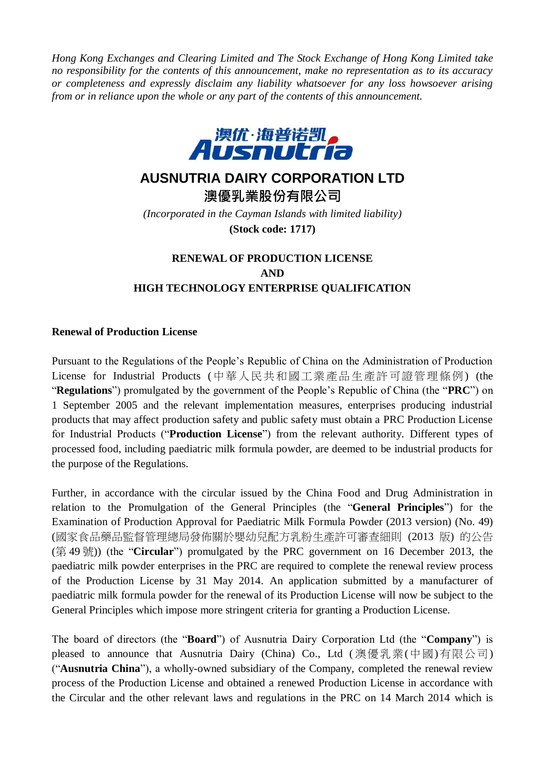*Hong Kong Exchanges and Clearing Limited and The Stock Exchange of Hong Kong Limited take no responsibility for the contents of this announcement, make no representation as to its accuracy or completeness and expressly disclaim any liability whatsoever for any loss howsoever arising from or in reliance upon the whole or any part of the contents of this announcement.*



# **AUSNUTRIA DAIRY CORPORATION LTD**

**澳優乳業股份有限公司** *(Incorporated in the Cayman Islands with limited liability)* **(Stock code: 1717)**

## **RENEWAL OF PRODUCTION LICENSE AND HIGH TECHNOLOGY ENTERPRISE QUALIFICATION**

#### **Renewal of Production License**

Pursuant to the Regulations of the People's Republic of China on the Administration of Production License for Industrial Products (中華人民共和國工業產品生產許可證管理條例) (the "**Regulations**") promulgated by the government of the People's Republic of China (the "**PRC**") on 1 September 2005 and the relevant implementation measures, enterprises producing industrial products that may affect production safety and public safety must obtain a PRC Production License for Industrial Products ("**Production License**") from the relevant authority. Different types of processed food, including paediatric milk formula powder, are deemed to be industrial products for the purpose of the Regulations.

Further, in accordance with the circular issued by the China Food and Drug Administration in relation to the Promulgation of the General Principles (the "**General Principles**") for the Examination of Production Approval for Paediatric Milk Formula Powder (2013 version) (No. 49) (國家食品藥品監督管理總局發佈關於嬰幼兒配方乳粉生產許可審查細則 (2013 版) 的公告 (第 49 號)) (the "**Circular**") promulgated by the PRC government on 16 December 2013, the paediatric milk powder enterprises in the PRC are required to complete the renewal review process of the Production License by 31 May 2014. An application submitted by a manufacturer of paediatric milk formula powder for the renewal of its Production License will now be subject to the General Principles which impose more stringent criteria for granting a Production License.

The board of directors (the "**Board**") of Ausnutria Dairy Corporation Ltd (the "**Company**") is pleased to announce that Ausnutria Dairy (China) Co., Ltd ( 澳優乳業(中國)有限公司) ("**Ausnutria China**"), a wholly-owned subsidiary of the Company, completed the renewal review process of the Production License and obtained a renewed Production License in accordance with the Circular and the other relevant laws and regulations in the PRC on 14 March 2014 which is